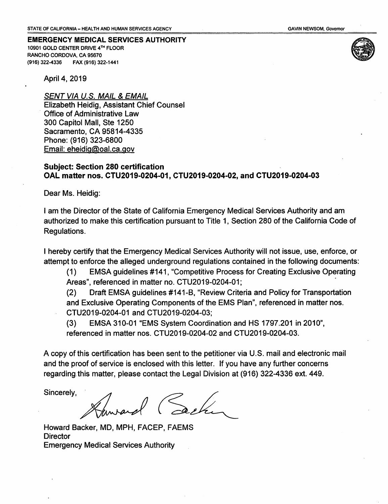**EMERGENCY MEDICAL SERVICES AUTHORITY** 10901 GOLD CENTER DRIVE 4TH FLOOR RANCHO CORDOVA, CA 95670 (916) 322-4336 FAX (916) 322-1441



April 4, 2019

**SENT VIA U.S. MAIL & EMAIL** Elizabeth Heidig, Assistant Chief Counsel **Office of Administrative Law** 300 Capitol Mall, Ste 1250 Sacramento, CA 95814-4335 Phone: (916) 323-6800 Email: eheidig@oal.ca.gov

## **Subject: Section 280 certification** OAL matter nos. CTU2019-0204-01, CTU2019-0204-02, and CTU2019-0204-03

Dear Ms. Heidig:

I am the Director of the State of California Emergency Medical Services Authority and am authorized to make this certification pursuant to Title 1, Section 280 of the California Code of Regulations.

I hereby certify that the Emergency Medical Services Authority will not issue, use, enforce, or attempt to enforce the alleged underground regulations contained in the following documents:

EMSA guidelines #141, "Competitive Process for Creating Exclusive Operating  $(1)$ Areas", referenced in matter no. CTU2019-0204-01;

 $(2)$ Draft EMSA guidelines #141-B, "Review Criteria and Policy for Transportation and Exclusive Operating Components of the EMS Plan", referenced in matter nos. CTU2019-0204-01 and CTU2019-0204-03:

 $(3)$ EMSA 310-01 "EMS System Coordination and HS 1797.201 in 2010", referenced in matter nos. CTU2019-0204-02 and CTU2019-0204-03.

A copy of this certification has been sent to the petitioner via U.S. mail and electronic mail and the proof of service is enclosed with this letter. If you have any further concerns regarding this matter, please contact the Legal Division at (916) 322-4336 ext. 449.

Sincerely,

Sartin mosarel

Howard Backer, MD, MPH, FACEP, FAEMS **Director Emergency Medical Services Authority**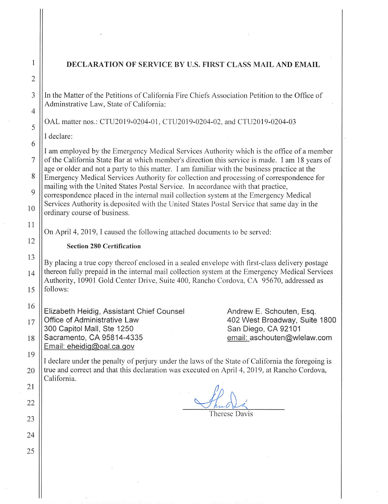## DECLARATION OF SERVICE BY U.S. FIRST CLASS MAIL AND EMAIL

In the Matter of the Petitions of California Fire Chiefs Association Petition to the Office of Adminstrative Law, State of California:

OAL matter nos.: CTU2019-0204-01, CTU2019-0204-02, and CTU2019-0204-03

I declare:

 $\mathbf{1}$ 

 $\overline{2}$ 

3

 $\overline{4}$ 

5

6

 $\overline{7}$ 

8

11

12

16

17

18

19

20

21

22

23

24

25

I am employed by the Emergency Medical Services Authority which is the office of a member of the California State Bar at which member's direction this service is made. I am 18 years of age or older and not a party to this matter. I am familiar with the business practice at the Emergency Medical Services Authority for collection and processing of correspondence for mailing with the United States Postal Service. In accordance with that practice.

 $\overline{Q}$ correspondence placed in the internal mail collection system at the Emergency Medical Services Authority is deposited with the United States Postal Service that same day in the 10 ordinary course of business.

On April 4, 2019, I caused the following attached documents to be served:

## **Section 280 Certification**

13 By placing a true copy thereof enclosed in a sealed envelope with first-class delivery postage thereon fully prepaid in the internal mail collection system at the Emergency Medical Services  $14$ Authority, 10901 Gold Center Drive, Suite 400, Rancho Cordova, CA 95670, addressed as follows: 15

Elizabeth Heidig, Assistant Chief Counsel Office of Administrative Law 300 Capitol Mall, Ste 1250 Sacramento, CA 95814-4335 Email: eheidig@oal.ca.gov

Andrew E. Schouten, Esg. 402 West Broadway, Suite 1800 San Diego, CA 92101 email: aschouten@wlelaw.com

I declare under the penalty of perjury under the laws of the State of California the foregoing is true and correct and that this declaration was executed on April 4, 2019, at Rancho Cordova, California.

Therese Davis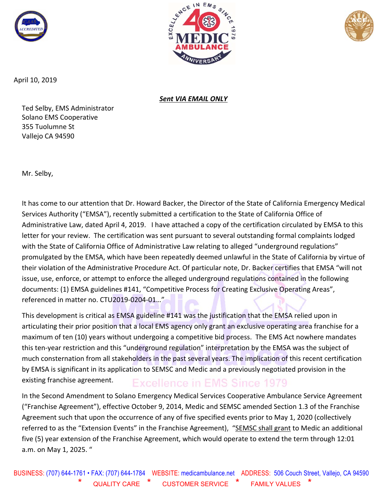





April 10, 2019

## *Sent VIA EMAIL ONLY*

Ted Selby, EMS Administrator Solano EMS Cooperative 355 Tuolumne St Vallejo CA 94590

Mr. Selby,

It has come to our attention that Dr. Howard Backer, the Director of the State of California Emergency Medical Services Authority ("EMSA"), recently submitted a certification to the State of California Office of Administrative Law, dated April 4, 2019. I have attached a copy of the certification circulated by EMSA to this letter for your review. The certification was sent pursuant to several outstanding formal complaints lodged with the State of California Office of Administrative Law relating to alleged "underground regulations" promulgated by the EMSA, which have been repeatedly deemed unlawful in the State of California by virtue of their violation of the Administrative Procedure Act. Of particular note, Dr. Backer certifies that EMSA "will not issue, use, enforce, or attempt to enforce the alleged underground regulations contained in the following documents: (1) EMSA guidelines #141, "Competitive Process for Creating Exclusive Operating Areas", referenced in matter no. CTU2019‐0204‐01…"

This development is critical as EMSA guideline #141 was the justification that the EMSA relied upon in articulating their prior position that a local EMS agency only grant an exclusive operating area franchise for a maximum of ten (10) years without undergoing a competitive bid process. The EMS Act nowhere mandates this ten‐year restriction and this "underground regulation" interpretation by the EMSA was the subject of much consternation from all stakeholders in the past several years. The implication of this recent certification by EMSA is significant in its application to SEMSC and Medic and a previously negotiated provision in the existing franchise agreement. **Excellence in EMS Since 1979** 

In the Second Amendment to Solano Emergency Medical Services Cooperative Ambulance Service Agreement ("Franchise Agreement"), effective October 9, 2014, Medic and SEMSC amended Section 1.3 of the Franchise Agreement such that upon the occurrence of any of five specified events prior to May 1, 2020 (collectively referred to as the "Extension Events" in the Franchise Agreement), "SEMSC shall grant to Medic an additional five (5) year extension of the Franchise Agreement, which would operate to extend the term through 12:01 a.m. on May 1, 2025. "